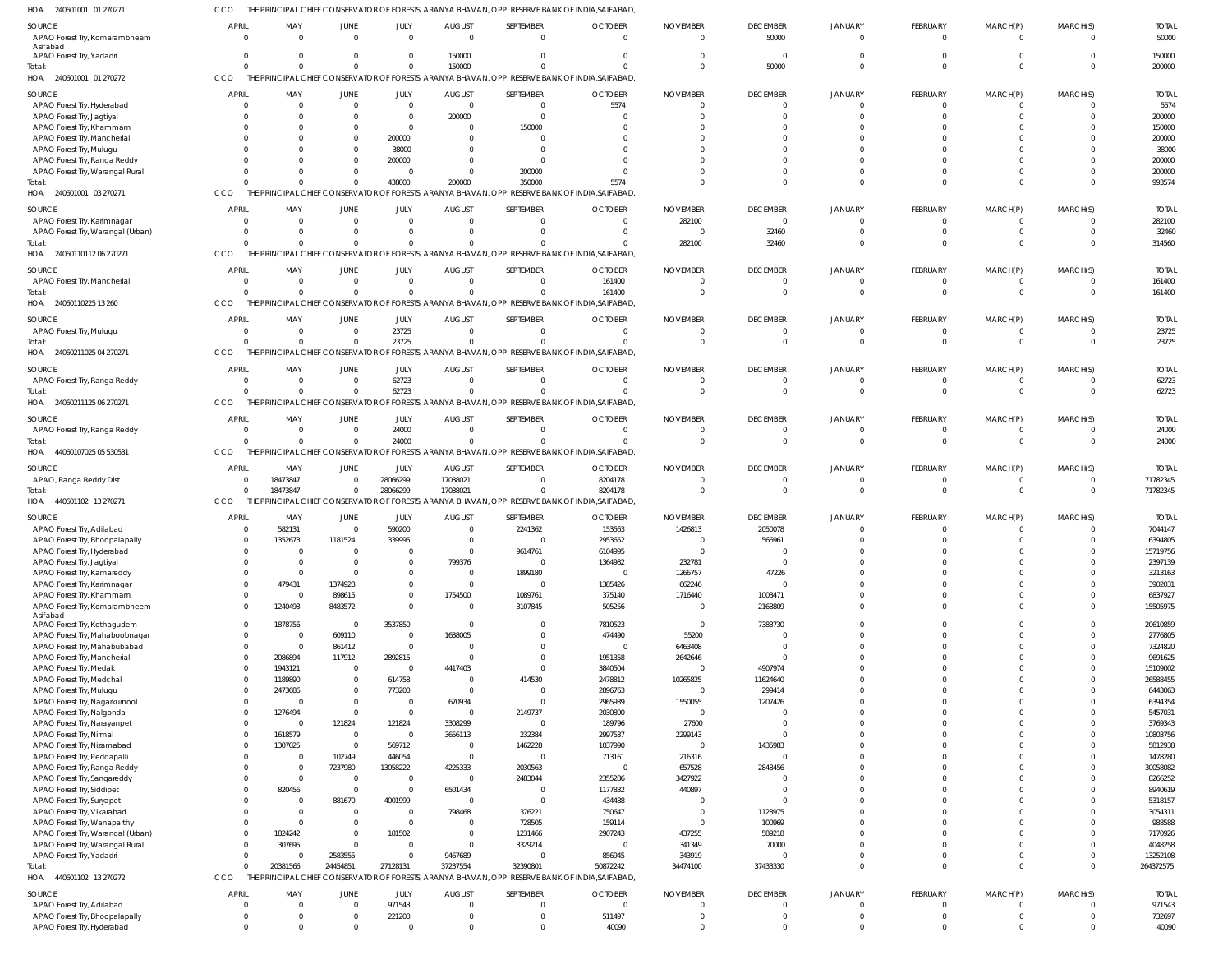| HOA<br>240601001 01 270271                                   |                              |                            |                            |                          |                            |                            | HE PRINCIPAL CHIEF CONSERVATOR OF FORESTS, ARANYA BHAVAN, OPP. RESERVE BANK OF INDIA,SAIFABAD    |                 |                               |                                  |                            |                         |                            |                    |
|--------------------------------------------------------------|------------------------------|----------------------------|----------------------------|--------------------------|----------------------------|----------------------------|--------------------------------------------------------------------------------------------------|-----------------|-------------------------------|----------------------------------|----------------------------|-------------------------|----------------------------|--------------------|
| SOURCE                                                       | <b>APRIL</b>                 | MAY                        | JUNE                       | JULY                     | <b>AUGUST</b>              | SEPTEMBER                  | <b>OCTOBER</b>                                                                                   | <b>NOVEMBER</b> | <b>DECEMBER</b>               | <b>JANUARY</b>                   | FEBRUARY                   | MARCH(P)                | MARCH(S)                   | <b>TOTAL</b>       |
| APAO Forest Try, Komarambheem                                | $\mathbf{0}$                 | $\Omega$                   | $\Omega$                   | $\Omega$                 | $\Omega$                   | $\Omega$                   | $\Omega$                                                                                         | $\Omega$        | 50000                         | $\overline{0}$                   | $\mathbf 0$                | $\Omega$                | $\Omega$                   | 50000              |
| Asifabad<br>APAO Forest Try, Yadadri                         | $\mathbf{0}$                 | $\mathbf 0$                | $\mathbf{0}$               | $\Omega$                 | 150000                     | $\Omega$                   | $\Omega$                                                                                         |                 | $\Omega$                      | $\overline{0}$                   | $\Omega$                   |                         | $\Omega$                   | 150000             |
| Total:                                                       | $\Omega$                     | $\Omega$                   | $\Omega$                   | $\Omega$                 | 150000                     | $\cap$                     | $\Omega$                                                                                         | $\Omega$        | 50000                         | $\Omega$                         | $\Omega$                   | $\Omega$                | $\Omega$                   | 200000             |
| HOA 240601001 01 270272                                      | CCO                          |                            |                            |                          |                            |                            | THE PRINCIPAL CHIEF CONSERVATOR OF FORESTS, ARANYA BHAVAN, OPP. RESERVE BANK OF INDIA, SAIFABAD, |                 |                               |                                  |                            |                         |                            |                    |
| SOURCE                                                       | <b>APRIL</b>                 | MAY                        | JUNE                       | JULY                     | <b>AUGUST</b>              | SEPTEMBER                  | <b>OCTOBER</b>                                                                                   | <b>NOVEMBER</b> | <b>DECEMBER</b>               | <b>JANUARY</b>                   | FEBRUARY                   | MARCH(P)                | MARCH(S)                   | <b>TOTAL</b>       |
| APAO Forest Try, Hyderabad                                   | $\overline{0}$               | $\overline{0}$             | $\overline{0}$             | $\Omega$                 | $\overline{0}$             | $\Omega$                   | 5574                                                                                             |                 | $\Omega$                      | $\Omega$                         | $\mathbf 0$                |                         | $\Omega$                   | 5574               |
| APAO Forest Try, Jagtiyal                                    |                              | $\mathbf 0$                | $\Omega$                   | $\Omega$                 | 200000                     | $\Omega$                   | $\Omega$                                                                                         |                 | $\Omega$                      | $\Omega$                         | $\Omega$                   |                         | $\Omega$                   | 200000             |
| APAO Forest Try, Khammam                                     |                              | $\mathbf 0$                | $\mathbf 0$                | $\Omega$                 | $\mathbf 0$                | 150000                     |                                                                                                  |                 |                               |                                  | $\Omega$                   |                         | $\Omega$                   | 150000             |
| APAO Forest Try, Mancherial                                  |                              | $\Omega$                   | $\Omega$                   | 200000                   | $\Omega$                   | $\Omega$                   |                                                                                                  |                 |                               |                                  |                            |                         | $\Omega$                   | 200000             |
| APAO Forest Try, Mulugu                                      |                              | $\Omega$                   | $\Omega$                   | 38000                    | $\Omega$                   | $\Omega$                   |                                                                                                  |                 |                               |                                  |                            |                         | $\Omega$                   | 38000              |
| APAO Forest Try, Ranga Reddy                                 |                              | $\Omega$                   | $\Omega$                   | 200000                   | $\Omega$                   | $\Omega$                   |                                                                                                  |                 |                               |                                  |                            |                         | $\Omega$                   | 200000             |
| APAO Forest Try, Warangal Rural                              | $\Omega$                     | $\Omega$                   | $\mathbf 0$                | $\Omega$                 | $\Omega$                   | 200000                     | $\Omega$                                                                                         |                 | $\Omega$                      | $\Omega$                         | $\Omega$                   |                         | $\Omega$                   | 200000             |
| Total:                                                       | $\Omega$                     | $\Omega$                   | $\Omega$                   | 438000                   | 200000                     | 350000                     | 5574                                                                                             |                 | $\Omega$                      | $\Omega$                         | $\Omega$                   |                         | $\Omega$                   | 993574             |
| HOA 240601001 03 270271                                      | CCO                          |                            |                            |                          |                            |                            | THE PRINCIPAL CHIEF CONSERVATOR OF FORESTS, ARANYA BHAVAN, OPP. RESERVE BANK OF INDIA, SAIFABAD, |                 |                               |                                  |                            |                         |                            |                    |
| SOURCE                                                       | <b>APRIL</b>                 | MAY                        | JUNE                       | JULY                     | <b>AUGUST</b>              | SEPTEMBER                  | <b>OCTOBER</b>                                                                                   | <b>NOVEMBER</b> | <b>DECEMBER</b>               | JANUARY                          | FEBRUARY                   | MARCH(P)                | MARCH(S)                   | <b>TOTAL</b>       |
| APAO Forest Try, Karimnagar                                  | $\mathbf 0$                  | $\overline{0}$             | $\mathbf 0$                | $\Omega$                 | $\mathbf 0$                | $\Omega$                   | $\Omega$                                                                                         | 282100          | $\mathbf 0$                   | $\Omega$                         | $\mathbf 0$                | $\Omega$                | $\Omega$                   | 282100             |
| APAO Forest Try, Warangal (Urban)                            | $\Omega$                     | $\mathbf 0$<br>$\Omega$    | $\mathbf 0$                | $\Omega$                 | $\Omega$                   | $\Omega$<br>$\cap$         | $\Omega$                                                                                         |                 | 32460                         | $\Omega$                         | $\mathbf 0$                |                         | $\mathbf 0$                | 32460              |
| Total:<br>HOA 24060110112 06 270271                          | CCO                          |                            | $\Omega$                   | $\Omega$                 | $\Omega$                   |                            | THE PRINCIPAL CHIEF CONSERVATOR OF FORESTS, ARANYA BHAVAN, OPP, RESERVE BANK OF INDIA, SAIFABAD, | 282100          | 32460                         | $\Omega$                         | $\Omega$                   |                         | $\Omega$                   | 314560             |
|                                                              |                              |                            |                            |                          |                            |                            |                                                                                                  |                 |                               |                                  |                            |                         |                            |                    |
| SOURCE                                                       | <b>APRIL</b>                 | MAY                        | JUNE                       | JULY                     | <b>AUGUST</b>              | SEPTEMBER                  | <b>OCTOBER</b>                                                                                   | <b>NOVEMBER</b> | <b>DECEMBER</b>               | <b>JANUARY</b>                   | FEBRUARY                   | MARCH(P)                | MARCH(S)                   | <b>TOTAL</b>       |
| APAO Forest Try, Mancherial                                  | $\overline{0}$               | $\overline{0}$             | $\overline{0}$             | $\Omega$                 | $\mathbf 0$                | $\Omega$                   | 161400                                                                                           |                 | 0                             | $\Omega$                         | $\mathbf 0$                |                         | $\Omega$                   | 161400             |
| Total:                                                       | $\Omega$<br>CCO              | $\Omega$                   | $\mathbf 0$                | $\Omega$                 | $\Omega$                   | $\Omega$                   | 161400                                                                                           |                 | $\Omega$                      | $\Omega$                         | $\mathbf 0$                | $\Omega$                | $\mathbf 0$                | 161400             |
| HOA 24060110225 13 260                                       |                              |                            |                            |                          |                            |                            | THE PRINCIPAL CHIEF CONSERVATOR OF FORESTS, ARANYA BHAVAN, OPP. RESERVE BANK OF INDIA, SAIFABAD, |                 |                               |                                  |                            |                         |                            |                    |
| SOURCE                                                       | <b>APRIL</b>                 | MAY                        | JUNE                       | JULY                     | <b>AUGUST</b>              | SEPTEMBER                  | <b>OCTOBER</b>                                                                                   | <b>NOVEMBER</b> | <b>DECEMBER</b>               | JANUARY                          | FEBRUARY                   | MARCH(P)                | MARCH(S)                   | <b>TOTAL</b>       |
| APAO Forest Try, Mulugu                                      | $\overline{0}$               | $\overline{0}$             | $\mathbf 0$                | 23725                    | $\Omega$                   | $\Omega$                   | $\Omega$                                                                                         |                 | 0                             | $\overline{0}$                   | 0                          | $\Omega$                | $\overline{0}$             | 23725              |
| Total:                                                       |                              | $\Omega$                   | $\mathbf 0$                | 23725                    | $\Omega$                   | $\Omega$                   | $\Omega$                                                                                         | $\Omega$        | $\Omega$                      | $\Omega$                         | $\mathbf 0$                | $\Omega$                | $\Omega$                   | 23725              |
| 24060211025 04 270271<br>HOA                                 | CCO                          |                            |                            |                          |                            |                            | THE PRINCIPAL CHIEF CONSERVATOR OF FORESTS, ARANYA BHAVAN, OPP. RESERVE BANK OF INDIA, SAIFABAD, |                 |                               |                                  |                            |                         |                            |                    |
| SOURCE                                                       | <b>APRIL</b>                 | MAY                        | JUNE                       | JULY                     | <b>AUGUST</b>              | SEPTEMBER                  | <b>OCTOBER</b>                                                                                   | <b>NOVEMBER</b> | <b>DECEMBER</b>               | JANUARY                          | FEBRUARY                   | MARCH(P)                | MARCH(S)                   | <b>TOTAL</b>       |
| APAO Forest Try, Ranga Reddy                                 | $\overline{0}$               | $\overline{0}$             | $\overline{0}$             | 62723                    | $\mathbf 0$                | $\Omega$                   | $\overline{0}$                                                                                   |                 | $\mathbf 0$                   | $\overline{0}$                   | $\mathbf 0$                | 0                       | $\mathbf 0$                | 62723              |
| Total:                                                       | $\Omega$                     | $\Omega$                   | $\Omega$                   | 62723                    | $\Omega$                   | $\cap$                     |                                                                                                  |                 | $\Omega$                      | $\Omega$                         | $\mathbf 0$                | $\Omega$                | $\Omega$                   | 62723              |
| 24060211125 06 270271<br>HOA                                 | CCO                          |                            |                            |                          |                            |                            | THE PRINCIPAL CHIEF CONSERVATOR OF FORESTS, ARANYA BHAVAN, OPP. RESERVE BANK OF INDIA, SAIFABAD, |                 |                               |                                  |                            |                         |                            |                    |
| SOURCE                                                       | <b>APRIL</b>                 | MAY                        | JUNE                       | JULY                     | <b>AUGUST</b>              | SEPTEMBER                  | <b>OCTOBER</b>                                                                                   | <b>NOVEMBER</b> | <b>DECEMBER</b>               | <b>JANUARY</b>                   | FEBRUARY                   | MARCH(P)                | MARCH(S)                   | <b>TOTAL</b>       |
| APAO Forest Try, Ranga Reddy                                 | $\Omega$                     | $\Omega$                   | $\mathbf 0$                | 24000                    | $\mathbf 0$                | $\Omega$                   | $\Omega$                                                                                         |                 | $\Omega$                      | $\Omega$                         | 0                          |                         | $\Omega$                   | 24000              |
| Total:                                                       | $\Omega$                     | $\Omega$                   | $\mathbf 0$                | 24000                    | $\Omega$                   | $\Omega$                   | $\Omega$                                                                                         | $\Omega$        | $\Omega$                      | $\Omega$                         | $\mathbf 0$                | $\Omega$                | $\Omega$                   | 24000              |
| HOA 44060107025 05 530531                                    | CCO                          |                            |                            |                          |                            |                            | THE PRINCIPAL CHIEF CONSERVATOR OF FORESTS, ARANYA BHAVAN, OPP. RESERVE BANK OF INDIA, SAIFABAD, |                 |                               |                                  |                            |                         |                            |                    |
|                                                              |                              |                            |                            |                          |                            |                            |                                                                                                  |                 |                               |                                  |                            |                         |                            |                    |
| SOURCE                                                       | <b>APRIL</b>                 | MAY                        | JUNE                       | JULY                     | <b>AUGUST</b>              | SEPTEMBER                  | <b>OCTOBER</b>                                                                                   | <b>NOVEMBER</b> | <b>DECEMBER</b>               | <b>JANUARY</b>                   | FEBRUARY                   | MARCH(P)                | MARCH(S)                   | <b>TOTAL</b>       |
| APAO, Ranga Reddy Dist                                       | 0                            | 18473847                   | $\mathbf 0$                | 28066299                 | 17038021                   | $\Omega$                   | 8204178                                                                                          |                 | $\mathbf 0$                   | $\mathbf{0}$                     | $\mathbf 0$                |                         | $\mathbf{0}$               | 71782345           |
| Total:                                                       | $\Omega$                     | 18473847                   | $\mathbf 0$                | 28066299                 | 17038021                   | $\Omega$                   | 8204178                                                                                          |                 | $\mathbf 0$                   | $\Omega$                         | $\mathbf 0$                | $\Omega$                | $\mathbf 0$                | 71782345           |
| HOA 440601102 13 270271                                      | CCO                          |                            |                            |                          |                            |                            | THE PRINCIPAL CHIEF CONSERVATOR OF FORESTS, ARANYA BHAVAN, OPP. RESERVE BANK OF INDIA, SAIFABAD, |                 |                               |                                  |                            |                         |                            |                    |
| SOURCE                                                       | <b>APRIL</b>                 | MAY                        | JUNE                       | JULY                     | <b>AUGUST</b>              | SEPTEMBER                  | <b>OCTOBER</b>                                                                                   | <b>NOVEMBER</b> | <b>DECEMBER</b>               | <b>JANUARY</b>                   | FEBRUARY                   | MARCH(P)                | MARCH(S)                   | <b>TOTAL</b>       |
| APAO Forest Try, Adilabad                                    | 0                            | 582131                     | $\overline{0}$             | 590200                   | $\mathbf 0$                | 2241362                    | 153563                                                                                           | 1426813         | 2050078                       | $\Omega$                         | $\Omega$                   |                         |                            | 7044147            |
| APAO Forest Try, Bhoopalapally                               | $\overline{0}$               | 1352673                    | 1181524                    | 339995                   | $\Omega$                   | - 0                        | 2953652                                                                                          |                 | 566961                        | $\Omega$                         | $\Omega$                   |                         | $\Omega$                   | 6394805            |
| APAO Forest Try, Hyderabad                                   | $\Omega$                     | $\Omega$                   | $\Omega$                   | $\Omega$                 | $\Omega$                   | 9614761                    | 6104995                                                                                          |                 | $\Omega$                      | $\Omega$                         | $\Omega$                   |                         | $\Omega$                   | 15719756           |
| APAO Forest Try, Jagtiyal                                    |                              | $\Omega$                   | $\mathbf 0$                | $\Omega$                 | 799376                     | $\Omega$                   | 1364982                                                                                          | 232781          | $\mathbf 0$                   | $\mathbf{0}$                     | $\Omega$                   |                         | $\Omega$                   | 2397139            |
| APAO Forest Try, Kamareddy                                   | $\Omega$                     | $\Omega$                   | $\mathbf 0$                | $\Omega$                 | $\mathbf 0$                | 1899180                    | $\overline{0}$                                                                                   | 1266757         | 47226                         | $\Omega$                         | $\Omega$                   |                         | $\Omega$                   | 3213163            |
| APAO Forest Try, Karimnagar                                  | $\Omega$                     | 479431                     | 1374928                    | $\Omega$                 | $\mathbf 0$                | $\Omega$                   | 1385426                                                                                          | 662246          | $\Omega$                      | $\Omega$                         | $\Omega$                   | $\Omega$                | $\Omega$                   | 3902031            |
| APAO Forest Try, Khammam                                     | $\mathbf{0}$                 | $\overline{0}$             | 898615                     | $\Omega$                 | 1754500                    | 1089761                    | 375140                                                                                           | 1716440         | 1003471                       | $\mathbf{0}$                     | $\Omega$                   |                         | $\Omega$                   | 6837927            |
| APAO Forest Try, Komarambheem<br>Asifabad                    | $\mathbf 0$                  | 1240493                    | 8483572                    | $\Omega$                 | $\mathbf 0$                | 3107845                    | 505256                                                                                           |                 | 2168809                       | $\overline{0}$                   | $\Omega$                   |                         | $\Omega$                   | 15505975           |
| APAO Forest Try, Kothagudem                                  | $\Omega$                     | 1878756                    | $\overline{0}$             | 3537850                  | $\mathbf 0$                | $\Omega$                   | 7810523                                                                                          |                 | 7383730                       | $\overline{0}$                   | $\Omega$                   |                         | $\Omega$                   | 20610859           |
| APAO Forest Try, Mahaboobnagar                               | $\Omega$                     | $\overline{0}$             | 609110                     | $\Omega$                 | 1638005                    | $\Omega$                   | 474490                                                                                           | 55200           | $\Omega$                      | $\overline{0}$                   | $\Omega$                   |                         | $\Omega$                   | 2776805            |
| APAO Forest Try, Mahabubabad                                 | $\mathbf 0$                  | $\overline{0}$             | 861412                     | $\Omega$                 | $\mathbf 0$                | $\Omega$                   | $\overline{0}$                                                                                   | 6463408         | $\Omega$                      | $\mathbf{0}$                     | $\Omega$                   |                         | $\Omega$                   | 7324820            |
| APAO Forest Try, Mancherial                                  | $\mathbf 0$                  | 2086894                    | 117912                     | 2892815                  | $\Omega$                   | $\Omega$                   | 1951358                                                                                          | 2642646         | $\Omega$                      | $\Omega$                         | $\Omega$                   |                         | $\Omega$                   | 9691625            |
| APAO Forest Try, Medak                                       | $\mathbf{0}$                 | 1943121                    | $\overline{0}$             | $\overline{0}$           | 4417403                    | $\overline{0}$             | 3840504                                                                                          | - 0             | 4907974                       | $\Omega$                         | $\Omega$<br>$\Omega$       |                         | $\Omega$                   | 15109002           |
| APAO Forest Try, Medchal                                     | $\mathbf 0$                  | 1189890                    | $\mathbf 0$                | 614758                   | $\overline{0}$             | 414530<br>$\Omega$         | 2478812                                                                                          | 10265825<br>- 0 | 11624640                      | $\overline{0}$<br>$\Omega$       | $\Omega$                   |                         | $\Omega$<br>$\Omega$       | 26588455           |
| APAO Forest Try, Muluqu<br>APAO Forest Try, Nagarkurnool     | $\mathbf{0}$<br>$\mathbf{0}$ | 2473686<br>$\Omega$        | $\mathbf 0$<br>$\mathbf 0$ | 773200<br>$\overline{0}$ | $\mathbf 0$<br>670934      | $\Omega$                   | 2896763<br>2965939                                                                               | 1550055         | 299414<br>1207426             | $\Omega$                         | $\Omega$                   |                         | $\Omega$                   | 6443063<br>6394354 |
| APAO Forest Try, Nalgonda                                    | $\mathbf{0}$                 | 1276494                    | $\overline{0}$             | $\mathbf{0}$             | $\mathbf 0$                | 2149737                    | 2030800                                                                                          | $\Omega$        | $\Omega$                      | $\Omega$                         | $\Omega$                   |                         | $\Omega$                   | 5457031            |
| APAO Forest Try, Narayanpet                                  | $\Omega$                     | $\overline{0}$             | 121824                     | 121824                   | 3308299                    | $\Omega$                   | 189796                                                                                           | 27600           | $\Omega$                      | $\Omega$                         | $\Omega$                   |                         | $\Omega$                   | 3769343            |
| APAO Forest Try, Nirmal                                      | $\mathbf{0}$                 | 1618579                    | $\overline{0}$             | $\Omega$                 | 3656113                    | 232384                     | 2997537                                                                                          | 2299143         | $\Omega$                      | $\Omega$                         | $\Omega$                   |                         | $\Omega$                   | 10803756           |
| APAO Forest Try, Nizamabad                                   | $\Omega$                     | 1307025                    | $\overline{0}$             | 569712                   | $\overline{0}$             | 1462228                    | 1037990                                                                                          |                 | 1435983                       | $\Omega$                         | $\Omega$                   |                         | $\Omega$                   | 5812938            |
| APAO Forest Try, Peddapalli                                  | $\Omega$                     | $\overline{0}$             | 102749                     | 446054                   | $\mathbf 0$                | $\overline{0}$             | 713161                                                                                           | 216316          | $\mathbf 0$                   | $\Omega$                         | $\Omega$                   |                         | $\Omega$                   | 1478280            |
| APAO Forest Try, Ranga Reddy                                 | $\Omega$                     | $\overline{0}$             | 7237980                    | 13058222                 | 4225333                    | 2030563                    | $\Omega$                                                                                         | 657528          | 2848456                       | $\Omega$                         | $\Omega$                   |                         | $\Omega$                   | 30058082           |
| APAO Forest Try, Sangareddy                                  | $\Omega$                     | $\overline{0}$             | $\overline{0}$             | $\overline{0}$           | $\mathbf 0$                | 2483044                    | 2355286                                                                                          | 3427922         | $\Omega$                      | $\Omega$                         | $\Omega$                   |                         | $\Omega$                   | 8266252            |
| APAO Forest Try, Siddipet                                    | $\Omega$                     | 820456                     | $\overline{0}$             | $\Omega$                 | 6501434                    | $\Omega$                   | 1177832                                                                                          | 440897          | $\Omega$                      | $\Omega$                         | $\Omega$                   |                         | $\Omega$                   | 8940619            |
| APAO Forest Try, Suryapet                                    | $\Omega$<br>$\Omega$         | $\overline{0}$             | 881670                     | 4001999<br>$\Omega$      | $\mathbf 0$                | $\Omega$                   | 434488                                                                                           | $\Omega$        | $\Omega$                      | $\Omega$                         | $\Omega$<br>$\Omega$       |                         | $\Omega$<br>$\Omega$       | 5318157            |
| APAO Forest Try, Vikarabad<br>APAO Forest Try, Wanaparthy    | $\Omega$                     | $\overline{0}$<br>$\Omega$ | $\mathbf 0$<br>$\mathbf 0$ | $\Omega$                 | 798468<br>$\mathbf 0$      | 376221<br>728505           | 750647<br>159114                                                                                 | $\Omega$        | 1128975<br>100969             | $\mathbf{0}$<br>$\Omega$         | $\Omega$                   |                         | $\Omega$                   | 3054311<br>988588  |
| APAO Forest Try, Warangal (Urban)                            | $\Omega$                     | 1824242                    | $\mathbf 0$                | 181502                   | $\overline{0}$             | 1231466                    | 2907243                                                                                          | 437255          | 589218                        | $\Omega$                         | $\Omega$                   |                         | $\Omega$                   | 7170926            |
| APAO Forest Try, Warangal Rural                              | $\mathbf{0}$                 | 307695                     | $\mathbf 0$                | $\Omega$                 | $\mathbf 0$                | 3329214                    | $\overline{0}$                                                                                   | 341349          | 70000                         | $\Omega$                         | $\Omega$                   |                         | $\Omega$                   | 4048258            |
| APAO Forest Try, Yadadri                                     | $\mathbf{0}$                 | $\Omega$                   | 2583555                    | $\Omega$                 | 9467689                    | $\Omega$                   | 856945                                                                                           | 343919          |                               | $\overline{0}$                   | $\Omega$                   | $\Omega$                | $\Omega$                   | 13252108           |
| Total:                                                       | $\Omega$                     | 20381566                   | 24454851                   | 27128131                 | 37237554                   | 32390801                   | 50872242                                                                                         | 34474100        | 37433330                      | $\overline{0}$                   | $\Omega$                   | $\Omega$                | $\mathbf 0$                | 264372575          |
| HOA 440601102 13 270272                                      | CCO                          |                            |                            |                          |                            |                            | THE PRINCIPAL CHIEF CONSERVATOR OF FORESTS, ARANYA BHAVAN, OPP. RESERVE BANK OF INDIA, SAIFABAD, |                 |                               |                                  |                            |                         |                            |                    |
| SOURCE                                                       | <b>APRIL</b>                 | MAY                        | JUNE                       | JULY                     | <b>AUGUST</b>              | SEPTEMBER                  | <b>OCTOBER</b>                                                                                   | <b>NOVEMBER</b> | <b>DECEMBER</b>               | <b>JANUARY</b>                   | FEBRUARY                   | MARCH(P)                | MARCH(S)                   | <b>TOTAL</b>       |
| APAO Forest Try, Adilabad                                    | $\mathbf{0}$                 | $\overline{0}$             | $\mathbf 0$                | 971543                   | $\mathbf 0$                | $\Omega$                   | $\overline{0}$                                                                                   |                 | $\mathbf 0$                   | $\overline{0}$                   | $\mathbf 0$                | 0                       | $\mathbf 0$                | 971543             |
| APAO Forest Try, Bhoopalapally<br>APAO Forest Try, Hyderabad | $\mathbf{0}$<br>$\Omega$     | $\mathbf 0$<br>$\mathbf 0$ | $\mathbf 0$<br>$\Omega$    | 221200<br>$\Omega$       | $\mathbf 0$<br>$\mathbf 0$ | $\overline{0}$<br>$\Omega$ | 511497<br>40090                                                                                  |                 | $\mathbf 0$<br>$\overline{0}$ | $\overline{0}$<br>$\overline{0}$ | $\mathbf 0$<br>$\mathbf 0$ | $\mathbf 0$<br>$\Omega$ | $\mathbf 0$<br>$\mathbf 0$ | 732697<br>40090    |